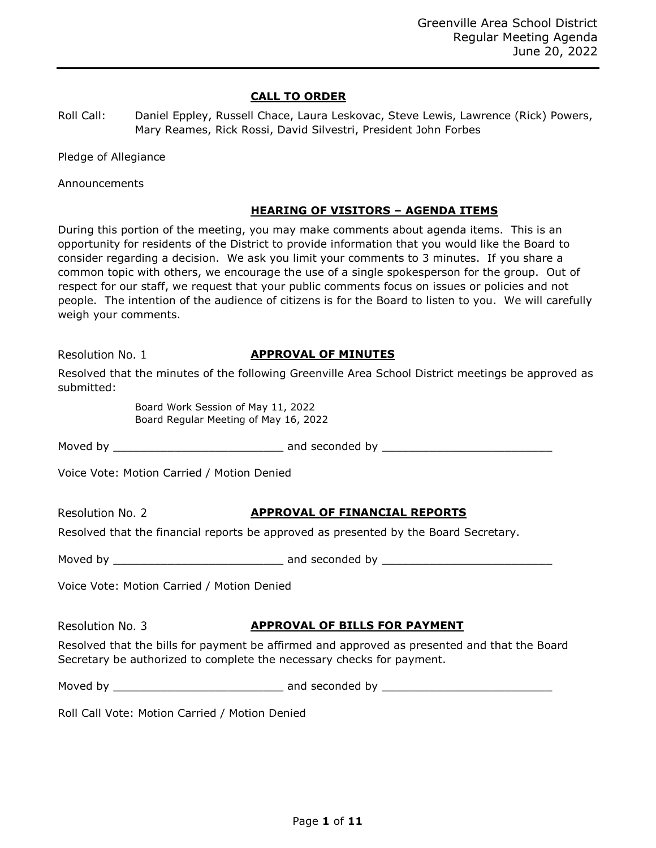## **CALL TO ORDER**

| Roll Call: | Daniel Eppley, Russell Chace, Laura Leskovac, Steve Lewis, Lawrence (Rick) Powers, |
|------------|------------------------------------------------------------------------------------|
|            | Mary Reames, Rick Rossi, David Silvestri, President John Forbes                    |

Pledge of Allegiance

Announcements

### **HEARING OF VISITORS – AGENDA ITEMS**

During this portion of the meeting, you may make comments about agenda items. This is an opportunity for residents of the District to provide information that you would like the Board to consider regarding a decision. We ask you limit your comments to 3 minutes. If you share a common topic with others, we encourage the use of a single spokesperson for the group. Out of respect for our staff, we request that your public comments focus on issues or policies and not people. The intention of the audience of citizens is for the Board to listen to you. We will carefully weigh your comments.

Resolution No. 1

# **APPROVAL OF MINUTES**

Resolved that the minutes of the following Greenville Area School District meetings be approved as submitted:

> Board Work Session of May 11, 2022 Board Regular Meeting of May 16, 2022

Moved by \_\_\_\_\_\_\_\_\_\_\_\_\_\_\_\_\_\_\_\_\_\_\_\_\_ and seconded by \_\_\_\_\_\_\_\_\_\_\_\_\_\_\_\_\_\_\_\_\_\_\_\_\_

Voice Vote: Motion Carried / Motion Denied

Resolution No. 2

# **APPROVAL OF FINANCIAL REPORTS**

Resolved that the financial reports be approved as presented by the Board Secretary.

Moved by \_\_\_\_\_\_\_\_\_\_\_\_\_\_\_\_\_\_\_\_\_\_\_\_\_ and seconded by \_\_\_\_\_\_\_\_\_\_\_\_\_\_\_\_\_\_\_\_\_\_\_\_\_

Voice Vote: Motion Carried / Motion Denied

Resolution No. 3

## **APPROVAL OF BILLS FOR PAYMENT**

Resolved that the bills for payment be affirmed and approved as presented and that the Board Secretary be authorized to complete the necessary checks for payment.

| Moved by | and seconded by |  |
|----------|-----------------|--|
|          |                 |  |

Roll Call Vote: Motion Carried / Motion Denied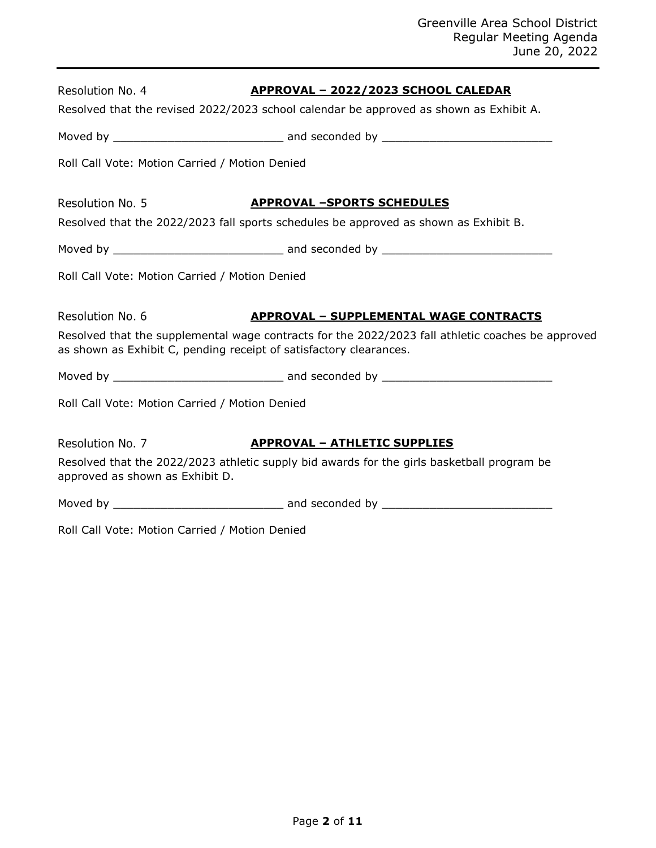| Resolution No. 4                               | <u> APPROVAL - 2022/2023 SCHOOL CALEDAR</u>                                                                                                                             |
|------------------------------------------------|-------------------------------------------------------------------------------------------------------------------------------------------------------------------------|
|                                                | Resolved that the revised 2022/2023 school calendar be approved as shown as Exhibit A.                                                                                  |
|                                                |                                                                                                                                                                         |
| Roll Call Vote: Motion Carried / Motion Denied |                                                                                                                                                                         |
| Resolution No. 5                               | <b>APPROVAL -SPORTS SCHEDULES</b>                                                                                                                                       |
|                                                | Resolved that the 2022/2023 fall sports schedules be approved as shown as Exhibit B.                                                                                    |
|                                                |                                                                                                                                                                         |
| Roll Call Vote: Motion Carried / Motion Denied |                                                                                                                                                                         |
| Resolution No. 6                               | <b>APPROVAL - SUPPLEMENTAL WAGE CONTRACTS</b>                                                                                                                           |
|                                                | Resolved that the supplemental wage contracts for the 2022/2023 fall athletic coaches be approved<br>as shown as Exhibit C, pending receipt of satisfactory clearances. |
|                                                |                                                                                                                                                                         |
| Roll Call Vote: Motion Carried / Motion Denied |                                                                                                                                                                         |
| Resolution No. 7                               | <b>APPROVAL - ATHLETIC SUPPLIES</b>                                                                                                                                     |
| approved as shown as Exhibit D.                | Resolved that the 2022/2023 athletic supply bid awards for the girls basketball program be                                                                              |
|                                                |                                                                                                                                                                         |
| Roll Call Vote: Motion Carried / Motion Denied |                                                                                                                                                                         |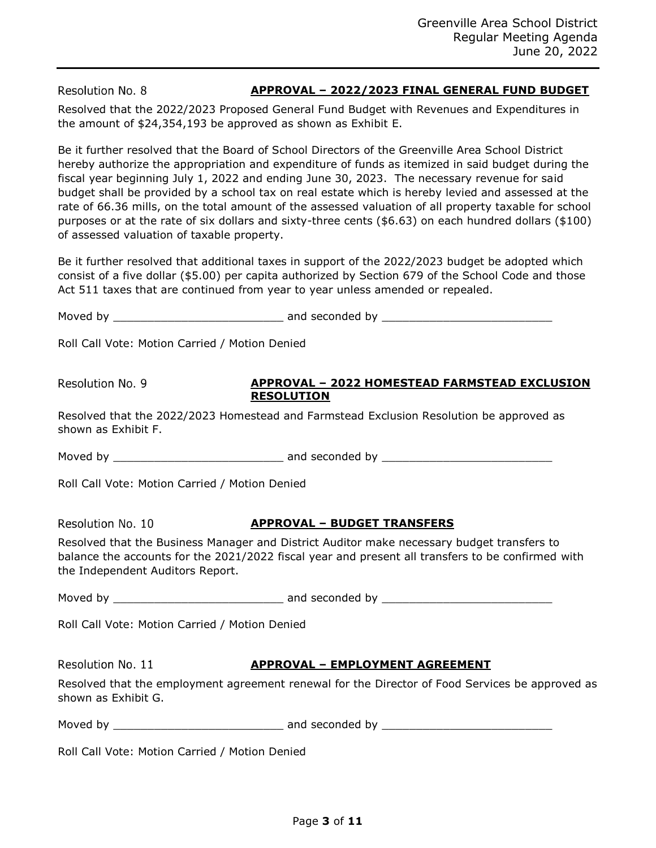Resolution No. 8

# **APPROVAL – 2022/2023 FINAL GENERAL FUND BUDGET**

Resolved that the 2022/2023 Proposed General Fund Budget with Revenues and Expenditures in the amount of \$24,354,193 be approved as shown as Exhibit E.

Be it further resolved that the Board of School Directors of the Greenville Area School District hereby authorize the appropriation and expenditure of funds as itemized in said budget during the fiscal year beginning July 1, 2022 and ending June 30, 2023. The necessary revenue for said budget shall be provided by a school tax on real estate which is hereby levied and assessed at the rate of 66.36 mills, on the total amount of the assessed valuation of all property taxable for school purposes or at the rate of six dollars and sixty-three cents (\$6.63) on each hundred dollars (\$100) of assessed valuation of taxable property.

Be it further resolved that additional taxes in support of the 2022/2023 budget be adopted which consist of a five dollar (\$5.00) per capita authorized by Section 679 of the School Code and those Act 511 taxes that are continued from year to year unless amended or repealed.

Moved by \_\_\_\_\_\_\_\_\_\_\_\_\_\_\_\_\_\_\_\_\_\_\_\_\_ and seconded by \_\_\_\_\_\_\_\_\_\_\_\_\_\_\_\_\_\_\_\_\_\_\_\_\_

Roll Call Vote: Motion Carried / Motion Denied

Resolution No. 9

#### **APPROVAL – 2022 HOMESTEAD FARMSTEAD EXCLUSION RESOLUTION**

Resolved that the 2022/2023 Homestead and Farmstead Exclusion Resolution be approved as shown as Exhibit F.

Moved by \_\_\_\_\_\_\_\_\_\_\_\_\_\_\_\_\_\_\_\_\_\_\_\_\_ and seconded by \_\_\_\_\_\_\_\_\_\_\_\_\_\_\_\_\_\_\_\_\_\_\_\_\_

Roll Call Vote: Motion Carried / Motion Denied

Resolution No. 10

# **APPROVAL – BUDGET TRANSFERS**

Resolved that the Business Manager and District Auditor make necessary budget transfers to balance the accounts for the 2021/2022 fiscal year and present all transfers to be confirmed with the Independent Auditors Report.

Moved by \_\_\_\_\_\_\_\_\_\_\_\_\_\_\_\_\_\_\_\_\_\_\_\_\_ and seconded by \_\_\_\_\_\_\_\_\_\_\_\_\_\_\_\_\_\_\_\_\_\_\_\_\_

Roll Call Vote: Motion Carried / Motion Denied

Resolution No. 11

## **APPROVAL – EMPLOYMENT AGREEMENT**

Resolved that the employment agreement renewal for the Director of Food Services be approved as shown as Exhibit G.

Moved by \_\_\_\_\_\_\_\_\_\_\_\_\_\_\_\_\_\_\_\_\_\_\_\_\_ and seconded by \_\_\_\_\_\_\_\_\_\_\_\_\_\_\_\_\_\_\_\_\_\_\_\_\_

Roll Call Vote: Motion Carried / Motion Denied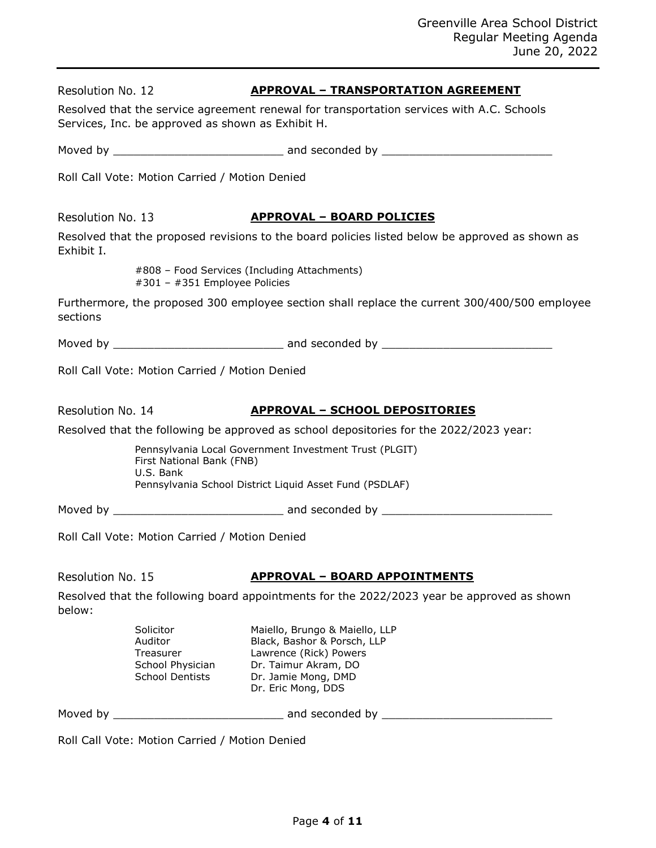| Resolution No. 12 |                                                                                 | <b>APPROVAL - TRANSPORTATION AGREEMENT</b>                                                                                                                   |
|-------------------|---------------------------------------------------------------------------------|--------------------------------------------------------------------------------------------------------------------------------------------------------------|
|                   | Services, Inc. be approved as shown as Exhibit H.                               | Resolved that the service agreement renewal for transportation services with A.C. Schools                                                                    |
|                   |                                                                                 |                                                                                                                                                              |
|                   | Roll Call Vote: Motion Carried / Motion Denied                                  |                                                                                                                                                              |
| Resolution No. 13 |                                                                                 | <b>APPROVAL - BOARD POLICIES</b>                                                                                                                             |
| Exhibit I.        |                                                                                 | Resolved that the proposed revisions to the board policies listed below be approved as shown as                                                              |
|                   | #301 - #351 Employee Policies                                                   | #808 - Food Services (Including Attachments)                                                                                                                 |
| sections          |                                                                                 | Furthermore, the proposed 300 employee section shall replace the current 300/400/500 employee                                                                |
|                   |                                                                                 |                                                                                                                                                              |
|                   | Roll Call Vote: Motion Carried / Motion Denied                                  |                                                                                                                                                              |
| Resolution No. 14 |                                                                                 | <b>APPROVAL - SCHOOL DEPOSITORIES</b>                                                                                                                        |
|                   |                                                                                 | Resolved that the following be approved as school depositories for the 2022/2023 year:                                                                       |
|                   | First National Bank (FNB)<br>U.S. Bank                                          | Pennsylvania Local Government Investment Trust (PLGIT)                                                                                                       |
|                   |                                                                                 | Pennsylvania School District Liquid Asset Fund (PSDLAF)                                                                                                      |
|                   |                                                                                 |                                                                                                                                                              |
|                   | Roll Call Vote: Motion Carried / Motion Denied                                  |                                                                                                                                                              |
| Resolution No. 15 |                                                                                 | <b>APPROVAL - BOARD APPOINTMENTS</b>                                                                                                                         |
| below:            |                                                                                 | Resolved that the following board appointments for the 2022/2023 year be approved as shown                                                                   |
|                   | Solicitor<br>Auditor<br>Treasurer<br>School Physician<br><b>School Dentists</b> | Maiello, Brungo & Maiello, LLP<br>Black, Bashor & Porsch, LLP<br>Lawrence (Rick) Powers<br>Dr. Taimur Akram, DO<br>Dr. Jamie Mong, DMD<br>Dr. Eric Mong, DDS |
|                   |                                                                                 |                                                                                                                                                              |
|                   | Roll Call Vote: Motion Carried / Motion Denied                                  |                                                                                                                                                              |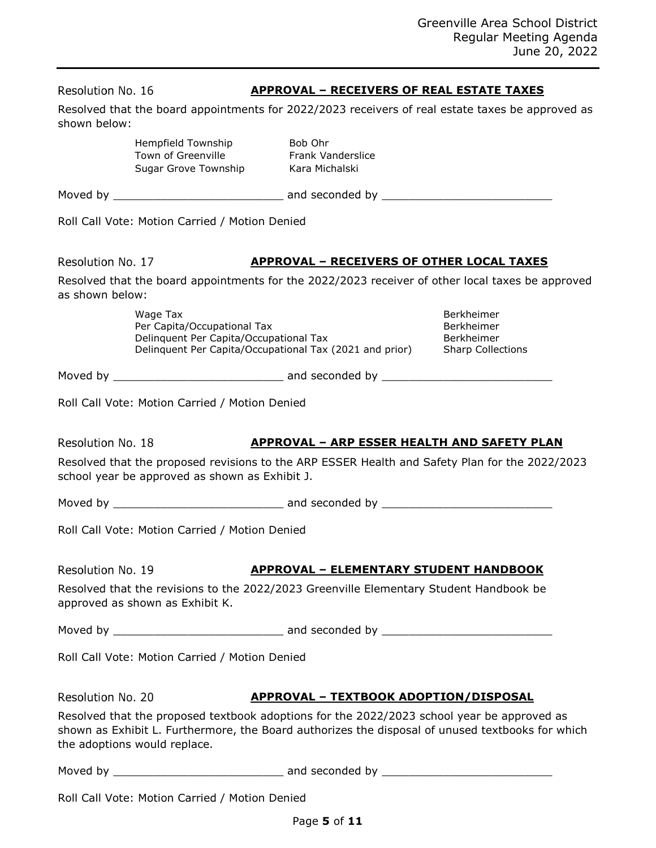**APPROVAL – RECEIVERS OF REAL ESTATE TAXES**

Resolved that the board appointments for 2022/2023 receivers of real estate taxes be approved as

shown below:

Resolution No. 16

|                   | Hempfield Township<br>Town of Greenville<br>Sugar Grove Township                  | Bob Ohr<br><b>Frank Vanderslice</b><br>Kara Michalski                                                                                                                                          |                                                                                                  |  |
|-------------------|-----------------------------------------------------------------------------------|------------------------------------------------------------------------------------------------------------------------------------------------------------------------------------------------|--------------------------------------------------------------------------------------------------|--|
|                   |                                                                                   |                                                                                                                                                                                                |                                                                                                  |  |
|                   | Roll Call Vote: Motion Carried / Motion Denied                                    |                                                                                                                                                                                                |                                                                                                  |  |
| Resolution No. 17 |                                                                                   | <b>APPROVAL - RECEIVERS OF OTHER LOCAL TAXES</b>                                                                                                                                               |                                                                                                  |  |
| as shown below:   |                                                                                   |                                                                                                                                                                                                | Resolved that the board appointments for the 2022/2023 receiver of other local taxes be approved |  |
|                   | Wage Tax<br>Per Capita/Occupational Tax<br>Delinquent Per Capita/Occupational Tax | Delinquent Per Capita/Occupational Tax (2021 and prior)                                                                                                                                        | Berkheimer<br><b>Berkheimer</b><br>Berkheimer<br><b>Sharp Collections</b>                        |  |
|                   |                                                                                   |                                                                                                                                                                                                |                                                                                                  |  |
|                   | Roll Call Vote: Motion Carried / Motion Denied                                    |                                                                                                                                                                                                |                                                                                                  |  |
| Resolution No. 18 | school year be approved as shown as Exhibit J.                                    | <b>APPROVAL - ARP ESSER HEALTH AND SAFETY PLAN</b><br>Resolved that the proposed revisions to the ARP ESSER Health and Safety Plan for the 2022/2023                                           |                                                                                                  |  |
|                   |                                                                                   |                                                                                                                                                                                                |                                                                                                  |  |
|                   | Roll Call Vote: Motion Carried / Motion Denied                                    |                                                                                                                                                                                                |                                                                                                  |  |
| Resolution No. 19 |                                                                                   | <u> APPROVAL – ELEMENTARY STUDENT HANDBOOK</u>                                                                                                                                                 |                                                                                                  |  |
|                   | approved as shown as Exhibit K.                                                   | Resolved that the revisions to the 2022/2023 Greenville Elementary Student Handbook be                                                                                                         |                                                                                                  |  |
|                   |                                                                                   |                                                                                                                                                                                                |                                                                                                  |  |
|                   | Roll Call Vote: Motion Carried / Motion Denied                                    |                                                                                                                                                                                                |                                                                                                  |  |
| Resolution No. 20 |                                                                                   | <u> APPROVAL – TEXTBOOK ADOPTION/DISPOSAL</u>                                                                                                                                                  |                                                                                                  |  |
|                   | the adoptions would replace.                                                      | Resolved that the proposed textbook adoptions for the 2022/2023 school year be approved as<br>shown as Exhibit L. Furthermore, the Board authorizes the disposal of unused textbooks for which |                                                                                                  |  |
|                   |                                                                                   |                                                                                                                                                                                                |                                                                                                  |  |
|                   | Roll Call Vote: Motion Carried / Motion Denied                                    |                                                                                                                                                                                                |                                                                                                  |  |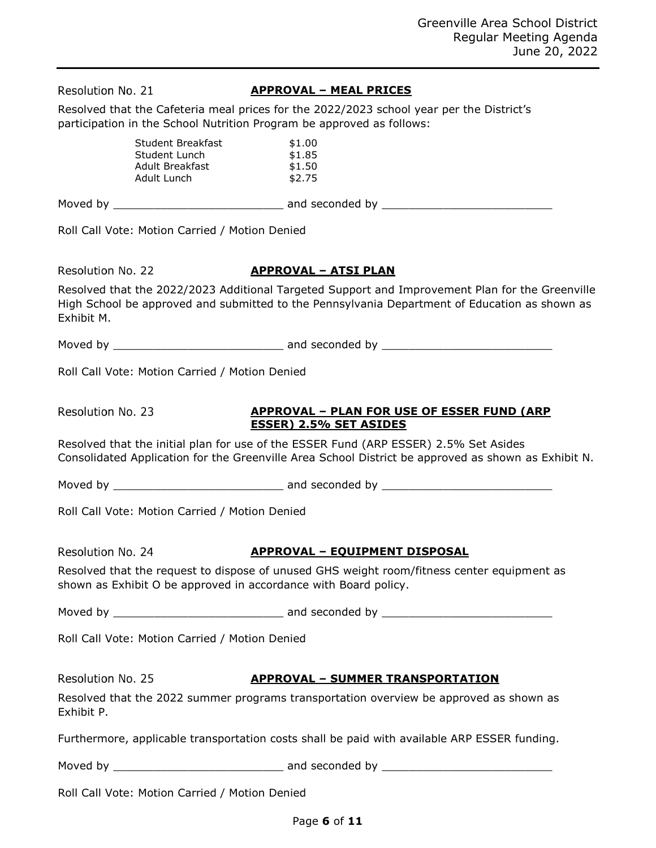| Resolution No. 21 |                                                                             | <b>APPROVAL - MEAL PRICES</b>                                                                                                                                                                    |
|-------------------|-----------------------------------------------------------------------------|--------------------------------------------------------------------------------------------------------------------------------------------------------------------------------------------------|
|                   |                                                                             | Resolved that the Cafeteria meal prices for the 2022/2023 school year per the District's<br>participation in the School Nutrition Program be approved as follows:                                |
|                   | <b>Student Breakfast</b><br>Student Lunch<br>Adult Breakfast<br>Adult Lunch | \$1.00<br>\$1.85<br>\$1.50<br>\$2.75                                                                                                                                                             |
|                   |                                                                             |                                                                                                                                                                                                  |
|                   | Roll Call Vote: Motion Carried / Motion Denied                              |                                                                                                                                                                                                  |
| Resolution No. 22 |                                                                             | <b>APPROVAL - ATSI PLAN</b>                                                                                                                                                                      |
| Exhibit M.        |                                                                             | Resolved that the 2022/2023 Additional Targeted Support and Improvement Plan for the Greenville<br>High School be approved and submitted to the Pennsylvania Department of Education as shown as |
|                   |                                                                             |                                                                                                                                                                                                  |
|                   | Roll Call Vote: Motion Carried / Motion Denied                              |                                                                                                                                                                                                  |
| Resolution No. 23 |                                                                             | <b>APPROVAL - PLAN FOR USE OF ESSER FUND (ARP)</b><br><b>ESSER) 2.5% SET ASIDES</b>                                                                                                              |
|                   |                                                                             | Resolved that the initial plan for use of the ESSER Fund (ARP ESSER) 2.5% Set Asides<br>Consolidated Application for the Greenville Area School District be approved as shown as Exhibit N.      |
|                   |                                                                             |                                                                                                                                                                                                  |
|                   | Roll Call Vote: Motion Carried / Motion Denied                              |                                                                                                                                                                                                  |
| Resolution No. 24 |                                                                             | <b>APPROVAL - EQUIPMENT DISPOSAL</b>                                                                                                                                                             |
|                   |                                                                             | Resolved that the request to dispose of unused GHS weight room/fitness center equipment as<br>shown as Exhibit O be approved in accordance with Board policy.                                    |
|                   |                                                                             |                                                                                                                                                                                                  |
|                   | Roll Call Vote: Motion Carried / Motion Denied                              |                                                                                                                                                                                                  |
| Resolution No. 25 |                                                                             | <b>APPROVAL - SUMMER TRANSPORTATION</b>                                                                                                                                                          |
| Exhibit P.        |                                                                             | Resolved that the 2022 summer programs transportation overview be approved as shown as                                                                                                           |
|                   |                                                                             | Furthermore, applicable transportation costs shall be paid with available ARP ESSER funding.                                                                                                     |
|                   |                                                                             |                                                                                                                                                                                                  |
|                   | Roll Call Vote: Motion Carried / Motion Denied                              |                                                                                                                                                                                                  |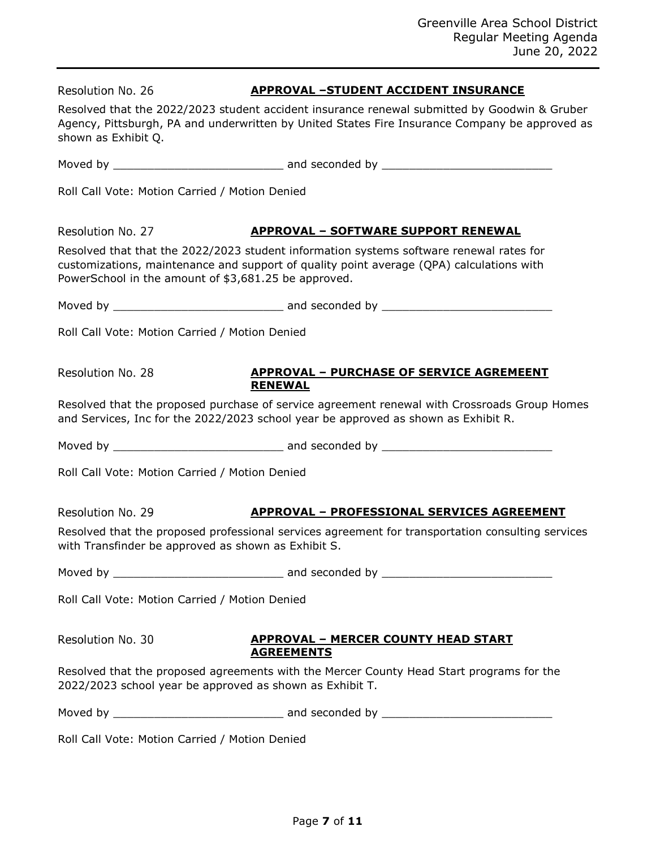| Resolution No. 26                                        | <b>APPROVAL -STUDENT ACCIDENT INSURANCE</b>                                                                                                                                                    |
|----------------------------------------------------------|------------------------------------------------------------------------------------------------------------------------------------------------------------------------------------------------|
| shown as Exhibit Q.                                      | Resolved that the 2022/2023 student accident insurance renewal submitted by Goodwin & Gruber<br>Agency, Pittsburgh, PA and underwritten by United States Fire Insurance Company be approved as |
|                                                          |                                                                                                                                                                                                |
| Roll Call Vote: Motion Carried / Motion Denied           |                                                                                                                                                                                                |
| Resolution No. 27                                        | <b>APPROVAL - SOFTWARE SUPPORT RENEWAL</b>                                                                                                                                                     |
| PowerSchool in the amount of \$3,681.25 be approved.     | Resolved that that the 2022/2023 student information systems software renewal rates for<br>customizations, maintenance and support of quality point average (QPA) calculations with            |
|                                                          |                                                                                                                                                                                                |
| Roll Call Vote: Motion Carried / Motion Denied           |                                                                                                                                                                                                |
| Resolution No. 28                                        | <b>APPROVAL - PURCHASE OF SERVICE AGREMEENT</b><br><b>RENEWAL</b>                                                                                                                              |
|                                                          | Resolved that the proposed purchase of service agreement renewal with Crossroads Group Homes<br>and Services, Inc for the 2022/2023 school year be approved as shown as Exhibit R.             |
|                                                          |                                                                                                                                                                                                |
| Roll Call Vote: Motion Carried / Motion Denied           |                                                                                                                                                                                                |
| Resolution No. 29                                        | <u> APPROVAL – PROFESSIONAL SERVICES AGREEMENT</u>                                                                                                                                             |
| with Transfinder be approved as shown as Exhibit S.      | Resolved that the proposed professional services agreement for transportation consulting services                                                                                              |
|                                                          |                                                                                                                                                                                                |
| Roll Call Vote: Motion Carried / Motion Denied           |                                                                                                                                                                                                |
| Resolution No. 30                                        | <b>APPROVAL - MERCER COUNTY HEAD START</b><br><b>AGREEMENTS</b>                                                                                                                                |
| 2022/2023 school year be approved as shown as Exhibit T. | Resolved that the proposed agreements with the Mercer County Head Start programs for the                                                                                                       |
|                                                          |                                                                                                                                                                                                |
| Roll Call Vote: Motion Carried / Motion Denied           |                                                                                                                                                                                                |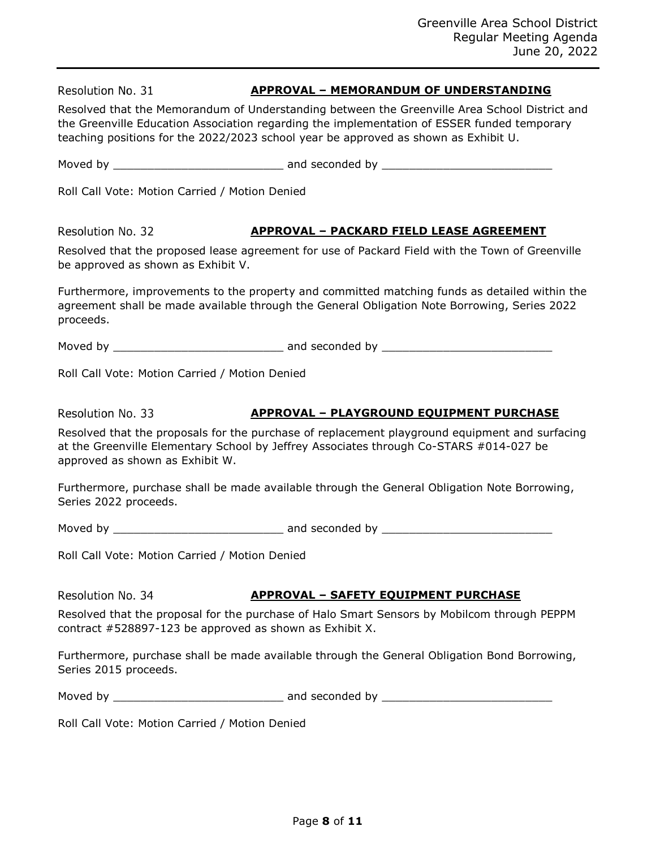Resolution No. 31 **APPROVAL – MEMORANDUM OF UNDERSTANDING** Resolved that the Memorandum of Understanding between the Greenville Area School District and the Greenville Education Association regarding the implementation of ESSER funded temporary teaching positions for the 2022/2023 school year be approved as shown as Exhibit U. Moved by \_\_\_\_\_\_\_\_\_\_\_\_\_\_\_\_\_\_\_\_\_\_\_\_\_ and seconded by \_\_\_\_\_\_\_\_\_\_\_\_\_\_\_\_\_\_\_\_\_\_\_\_\_ Roll Call Vote: Motion Carried / Motion Denied Resolution No. 32 **APPROVAL – PACKARD FIELD LEASE AGREEMENT** Resolved that the proposed lease agreement for use of Packard Field with the Town of Greenville Moved by \_\_\_\_\_\_\_\_\_\_\_\_\_\_\_\_\_\_\_\_\_\_\_\_\_ and seconded by \_\_\_\_\_\_\_\_\_\_\_\_\_\_\_\_\_\_\_\_\_\_\_\_\_ **APPROVAL – PLAYGROUND EQUIPMENT PURCHASE** Resolved that the proposals for the purchase of replacement playground equipment and surfacing at the Greenville Elementary School by Jeffrey Associates through Co-STARS #014-027 be approved as shown as Exhibit W. Furthermore, purchase shall be made available through the General Obligation Note Borrowing, Series 2022 proceeds. Moved by \_\_\_\_\_\_\_\_\_\_\_\_\_\_\_\_\_\_\_\_\_\_\_\_\_ and seconded by \_\_\_\_\_\_\_\_\_\_\_\_\_\_\_\_\_\_\_\_\_\_\_\_\_ Roll Call Vote: Motion Carried / Motion Denied Resolution No. 34 **APPROVAL – SAFETY EQUIPMENT PURCHASE** Resolved that the proposal for the purchase of Halo Smart Sensors by Mobilcom through PEPPM contract #528897-123 be approved as shown as Exhibit X. Furthermore, purchase shall be made available through the General Obligation Bond Borrowing,

Roll Call Vote: Motion Carried / Motion Denied

be approved as shown as Exhibit V.

Furthermore, improvements to the property and committed matching funds as detailed within the agreement shall be made available through the General Obligation Note Borrowing, Series 2022 proceeds.

Roll Call Vote: Motion Carried / Motion Denied

Resolution No. 33

Series 2015 proceeds.

Moved by \_\_\_\_\_\_\_\_\_\_\_\_\_\_\_\_\_\_\_\_\_\_\_\_\_ and seconded by \_\_\_\_\_\_\_\_\_\_\_\_\_\_\_\_\_\_\_\_\_\_\_\_\_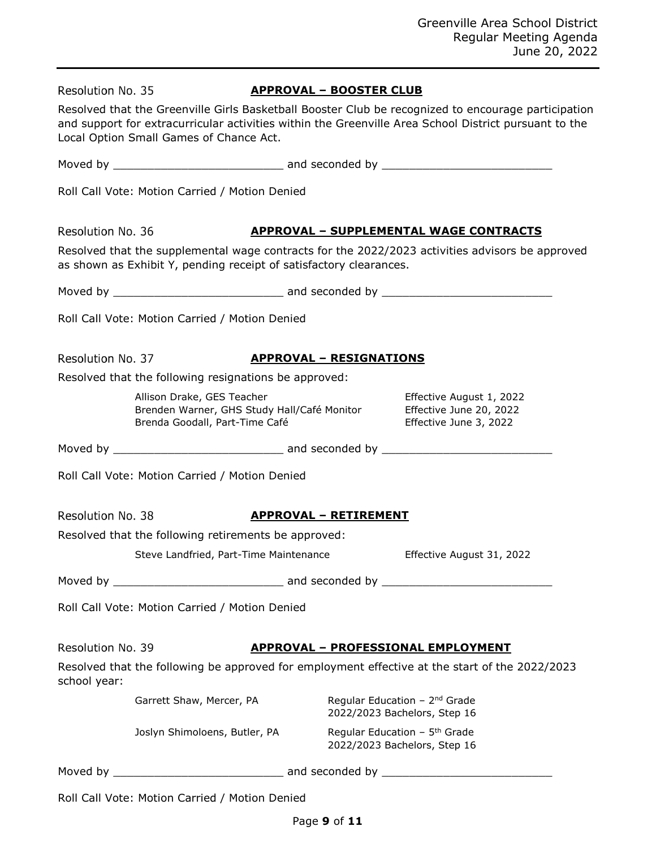| Resolved that the Greenville Girls Basketball Booster Club be recognized to encourage participation<br>and support for extracurricular activities within the Greenville Area School District pursuant to the<br>Local Option Small Games of Chance Act.<br>Roll Call Vote: Motion Carried / Motion Denied<br>Resolution No. 36<br><b>APPROVAL - SUPPLEMENTAL WAGE CONTRACTS</b><br>Resolved that the supplemental wage contracts for the 2022/2023 activities advisors be approved<br>as shown as Exhibit Y, pending receipt of satisfactory clearances.<br>Roll Call Vote: Motion Carried / Motion Denied<br>Resolution No. 37<br><b>APPROVAL - RESIGNATIONS</b><br>Resolved that the following resignations be approved:<br>Allison Drake, GES Teacher<br>Effective August 1, 2022<br>Brenden Warner, GHS Study Hall/Café Monitor<br>Effective June 20, 2022<br>Brenda Goodall, Part-Time Café<br>Effective June 3, 2022<br>Roll Call Vote: Motion Carried / Motion Denied<br>Resolution No. 38<br><b>APPROVAL - RETIREMENT</b><br>Resolved that the following retirements be approved:<br>Steve Landfried, Part-Time Maintenance<br>Effective August 31, 2022<br>Roll Call Vote: Motion Carried / Motion Denied<br>Resolution No. 39<br><u> APPROVAL – PROFESSIONAL EMPLOYMENT</u><br>Resolved that the following be approved for employment effective at the start of the 2022/2023<br>school year:<br>Regular Education - 2 <sup>nd</sup> Grade<br>Garrett Shaw, Mercer, PA<br>2022/2023 Bachelors, Step 16<br>Regular Education - 5 <sup>th</sup> Grade<br>Joslyn Shimoloens, Butler, PA<br>2022/2023 Bachelors, Step 16 | Resolution No. 35 |  | <b>APPROVAL - BOOSTER CLUB</b> |  |
|--------------------------------------------------------------------------------------------------------------------------------------------------------------------------------------------------------------------------------------------------------------------------------------------------------------------------------------------------------------------------------------------------------------------------------------------------------------------------------------------------------------------------------------------------------------------------------------------------------------------------------------------------------------------------------------------------------------------------------------------------------------------------------------------------------------------------------------------------------------------------------------------------------------------------------------------------------------------------------------------------------------------------------------------------------------------------------------------------------------------------------------------------------------------------------------------------------------------------------------------------------------------------------------------------------------------------------------------------------------------------------------------------------------------------------------------------------------------------------------------------------------------------------------------------------------------------------------------------------------------------------|-------------------|--|--------------------------------|--|
|                                                                                                                                                                                                                                                                                                                                                                                                                                                                                                                                                                                                                                                                                                                                                                                                                                                                                                                                                                                                                                                                                                                                                                                                                                                                                                                                                                                                                                                                                                                                                                                                                                |                   |  |                                |  |
|                                                                                                                                                                                                                                                                                                                                                                                                                                                                                                                                                                                                                                                                                                                                                                                                                                                                                                                                                                                                                                                                                                                                                                                                                                                                                                                                                                                                                                                                                                                                                                                                                                |                   |  |                                |  |
|                                                                                                                                                                                                                                                                                                                                                                                                                                                                                                                                                                                                                                                                                                                                                                                                                                                                                                                                                                                                                                                                                                                                                                                                                                                                                                                                                                                                                                                                                                                                                                                                                                |                   |  |                                |  |
|                                                                                                                                                                                                                                                                                                                                                                                                                                                                                                                                                                                                                                                                                                                                                                                                                                                                                                                                                                                                                                                                                                                                                                                                                                                                                                                                                                                                                                                                                                                                                                                                                                |                   |  |                                |  |
|                                                                                                                                                                                                                                                                                                                                                                                                                                                                                                                                                                                                                                                                                                                                                                                                                                                                                                                                                                                                                                                                                                                                                                                                                                                                                                                                                                                                                                                                                                                                                                                                                                |                   |  |                                |  |
|                                                                                                                                                                                                                                                                                                                                                                                                                                                                                                                                                                                                                                                                                                                                                                                                                                                                                                                                                                                                                                                                                                                                                                                                                                                                                                                                                                                                                                                                                                                                                                                                                                |                   |  |                                |  |
|                                                                                                                                                                                                                                                                                                                                                                                                                                                                                                                                                                                                                                                                                                                                                                                                                                                                                                                                                                                                                                                                                                                                                                                                                                                                                                                                                                                                                                                                                                                                                                                                                                |                   |  |                                |  |
|                                                                                                                                                                                                                                                                                                                                                                                                                                                                                                                                                                                                                                                                                                                                                                                                                                                                                                                                                                                                                                                                                                                                                                                                                                                                                                                                                                                                                                                                                                                                                                                                                                |                   |  |                                |  |
|                                                                                                                                                                                                                                                                                                                                                                                                                                                                                                                                                                                                                                                                                                                                                                                                                                                                                                                                                                                                                                                                                                                                                                                                                                                                                                                                                                                                                                                                                                                                                                                                                                |                   |  |                                |  |
|                                                                                                                                                                                                                                                                                                                                                                                                                                                                                                                                                                                                                                                                                                                                                                                                                                                                                                                                                                                                                                                                                                                                                                                                                                                                                                                                                                                                                                                                                                                                                                                                                                |                   |  |                                |  |
|                                                                                                                                                                                                                                                                                                                                                                                                                                                                                                                                                                                                                                                                                                                                                                                                                                                                                                                                                                                                                                                                                                                                                                                                                                                                                                                                                                                                                                                                                                                                                                                                                                |                   |  |                                |  |
|                                                                                                                                                                                                                                                                                                                                                                                                                                                                                                                                                                                                                                                                                                                                                                                                                                                                                                                                                                                                                                                                                                                                                                                                                                                                                                                                                                                                                                                                                                                                                                                                                                |                   |  |                                |  |
|                                                                                                                                                                                                                                                                                                                                                                                                                                                                                                                                                                                                                                                                                                                                                                                                                                                                                                                                                                                                                                                                                                                                                                                                                                                                                                                                                                                                                                                                                                                                                                                                                                |                   |  |                                |  |
|                                                                                                                                                                                                                                                                                                                                                                                                                                                                                                                                                                                                                                                                                                                                                                                                                                                                                                                                                                                                                                                                                                                                                                                                                                                                                                                                                                                                                                                                                                                                                                                                                                |                   |  |                                |  |
|                                                                                                                                                                                                                                                                                                                                                                                                                                                                                                                                                                                                                                                                                                                                                                                                                                                                                                                                                                                                                                                                                                                                                                                                                                                                                                                                                                                                                                                                                                                                                                                                                                |                   |  |                                |  |
|                                                                                                                                                                                                                                                                                                                                                                                                                                                                                                                                                                                                                                                                                                                                                                                                                                                                                                                                                                                                                                                                                                                                                                                                                                                                                                                                                                                                                                                                                                                                                                                                                                |                   |  |                                |  |
|                                                                                                                                                                                                                                                                                                                                                                                                                                                                                                                                                                                                                                                                                                                                                                                                                                                                                                                                                                                                                                                                                                                                                                                                                                                                                                                                                                                                                                                                                                                                                                                                                                |                   |  |                                |  |
|                                                                                                                                                                                                                                                                                                                                                                                                                                                                                                                                                                                                                                                                                                                                                                                                                                                                                                                                                                                                                                                                                                                                                                                                                                                                                                                                                                                                                                                                                                                                                                                                                                |                   |  |                                |  |
|                                                                                                                                                                                                                                                                                                                                                                                                                                                                                                                                                                                                                                                                                                                                                                                                                                                                                                                                                                                                                                                                                                                                                                                                                                                                                                                                                                                                                                                                                                                                                                                                                                |                   |  |                                |  |
|                                                                                                                                                                                                                                                                                                                                                                                                                                                                                                                                                                                                                                                                                                                                                                                                                                                                                                                                                                                                                                                                                                                                                                                                                                                                                                                                                                                                                                                                                                                                                                                                                                |                   |  |                                |  |
|                                                                                                                                                                                                                                                                                                                                                                                                                                                                                                                                                                                                                                                                                                                                                                                                                                                                                                                                                                                                                                                                                                                                                                                                                                                                                                                                                                                                                                                                                                                                                                                                                                |                   |  |                                |  |
|                                                                                                                                                                                                                                                                                                                                                                                                                                                                                                                                                                                                                                                                                                                                                                                                                                                                                                                                                                                                                                                                                                                                                                                                                                                                                                                                                                                                                                                                                                                                                                                                                                |                   |  |                                |  |
| Roll Call Vote: Motion Carried / Motion Denied                                                                                                                                                                                                                                                                                                                                                                                                                                                                                                                                                                                                                                                                                                                                                                                                                                                                                                                                                                                                                                                                                                                                                                                                                                                                                                                                                                                                                                                                                                                                                                                 |                   |  |                                |  |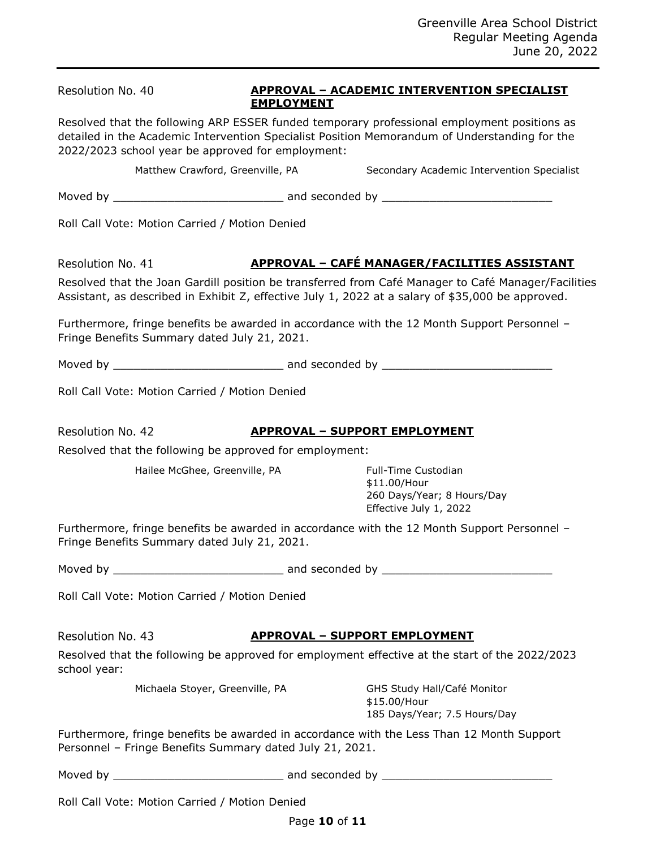| Resolution No. 40                                        | <b>APPROVAL - ACADEMIC INTERVENTION SPECIALIST</b><br><b>EMPLOYMENT</b> |                                                                                                                                                                                                          |  |
|----------------------------------------------------------|-------------------------------------------------------------------------|----------------------------------------------------------------------------------------------------------------------------------------------------------------------------------------------------------|--|
| 2022/2023 school year be approved for employment:        |                                                                         | Resolved that the following ARP ESSER funded temporary professional employment positions as<br>detailed in the Academic Intervention Specialist Position Memorandum of Understanding for the             |  |
| Matthew Crawford, Greenville, PA                         |                                                                         | Secondary Academic Intervention Specialist                                                                                                                                                               |  |
|                                                          |                                                                         |                                                                                                                                                                                                          |  |
| Roll Call Vote: Motion Carried / Motion Denied           |                                                                         |                                                                                                                                                                                                          |  |
| Resolution No. 41                                        |                                                                         | APPROVAL - CAFÉ MANAGER/FACILITIES ASSISTANT                                                                                                                                                             |  |
|                                                          |                                                                         | Resolved that the Joan Gardill position be transferred from Café Manager to Café Manager/Facilities<br>Assistant, as described in Exhibit Z, effective July 1, 2022 at a salary of \$35,000 be approved. |  |
| Fringe Benefits Summary dated July 21, 2021.             |                                                                         | Furthermore, fringe benefits be awarded in accordance with the 12 Month Support Personnel -                                                                                                              |  |
|                                                          |                                                                         |                                                                                                                                                                                                          |  |
| Roll Call Vote: Motion Carried / Motion Denied           |                                                                         |                                                                                                                                                                                                          |  |
| Resolution No. 42                                        |                                                                         | <b>APPROVAL - SUPPORT EMPLOYMENT</b>                                                                                                                                                                     |  |
| Resolved that the following be approved for employment:  |                                                                         |                                                                                                                                                                                                          |  |
| Hailee McGhee, Greenville, PA                            |                                                                         | Full-Time Custodian<br>\$11.00/Hour<br>260 Days/Year; 8 Hours/Day<br>Effective July 1, 2022                                                                                                              |  |
| Fringe Benefits Summary dated July 21, 2021.             |                                                                         | Furthermore, fringe benefits be awarded in accordance with the 12 Month Support Personnel -                                                                                                              |  |
|                                                          |                                                                         |                                                                                                                                                                                                          |  |
| Roll Call Vote: Motion Carried / Motion Denied           |                                                                         |                                                                                                                                                                                                          |  |
| Resolution No. 43                                        |                                                                         | <u> APPROVAL – SUPPORT EMPLOYMENT</u>                                                                                                                                                                    |  |
| school year:                                             |                                                                         | Resolved that the following be approved for employment effective at the start of the 2022/2023                                                                                                           |  |
| Michaela Stoyer, Greenville, PA                          |                                                                         | GHS Study Hall/Café Monitor<br>\$15.00/Hour<br>185 Days/Year; 7.5 Hours/Day                                                                                                                              |  |
| Personnel - Fringe Benefits Summary dated July 21, 2021. |                                                                         | Furthermore, fringe benefits be awarded in accordance with the Less Than 12 Month Support                                                                                                                |  |
|                                                          |                                                                         |                                                                                                                                                                                                          |  |
| Roll Call Vote: Motion Carried / Motion Denied           |                                                                         |                                                                                                                                                                                                          |  |